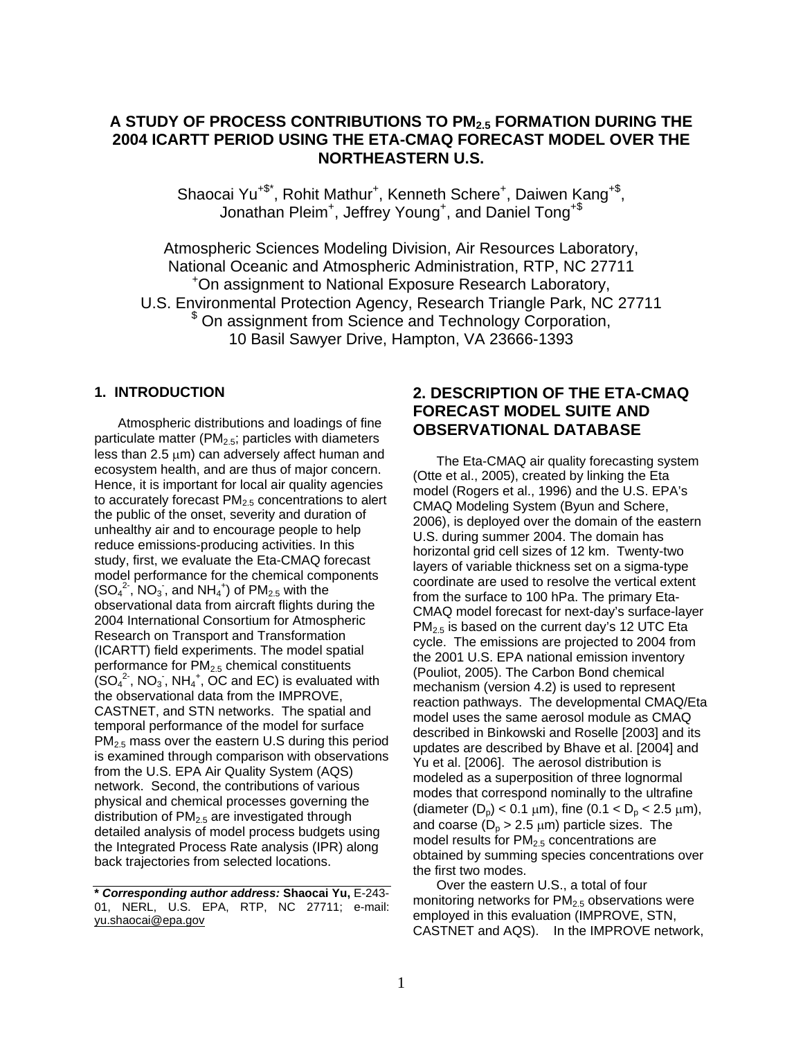# **A STUDY OF PROCESS CONTRIBUTIONS TO PM2.5 FORMATION DURING THE 2004 ICARTT PERIOD USING THE ETA-CMAQ FORECAST MODEL OVER THE NORTHEASTERN U.S.**

Shaocai Yu<sup>+\$\*</sup>, Rohit Mathur<sup>+</sup>, Kenneth Schere<sup>+</sup>, Daiwen Kang<sup>+\$</sup>, Jonathan Pleim<sup>+</sup>, Jeffrey Young<sup>+</sup>, and Daniel Tong<sup>+\$</sup>

Atmospheric Sciences Modeling Division, Air Resources Laboratory, National Oceanic and Atmospheric Administration, RTP, NC 27711 On assignment to National Exposure Research Laboratory, U.S. Environmental Protection Agency, Research Triangle Park, NC 27711  $$$  On assignment from Science and Technology Corporation, 10 Basil Sawyer Drive, Hampton, VA 23666-1393

### **1. INTRODUCTION**

Atmospheric distributions and loadings of fine particulate matter ( $PM<sub>2.5</sub>$ ; particles with diameters less than 2.5  $\mu$ m) can adversely affect human and ecosystem health, and are thus of major concern. Hence, it is important for local air quality agencies to accurately forecast  $PM<sub>2.5</sub>$  concentrations to alert the public of the onset, severity and duration of unhealthy air and to encourage people to help reduce emissions-producing activities. In this study, first, we evaluate the Eta-CMAQ forecast model performance for the chemical components  $(SO<sub>4</sub><sup>2</sup>$ , NO<sub>3</sub>, and NH<sub>4</sub><sup>+</sup>) of PM<sub>2.5</sub> with the observational data from aircraft flights during the 2004 International Consortium for Atmospheric Research on Transport and Transformation (ICARTT) field experiments. The model spatial performance for PM<sub>2.5</sub> chemical constituents  $(SO_4^2$ , NO<sub>3</sub>, NH<sub>4</sub><sup>+</sup>, OC and EC) is evaluated with the observational data from the IMPROVE, CASTNET, and STN networks. The spatial and temporal performance of the model for surface PM2.5 mass over the eastern U.S during this period is examined through comparison with observations from the U.S. EPA Air Quality System (AQS) network. Second, the contributions of various physical and chemical processes governing the distribution of  $PM<sub>2.5</sub>$  are investigated through detailed analysis of model process budgets using the Integrated Process Rate analysis (IPR) along back trajectories from selected locations.

# **2. DESCRIPTION OF THE ETA-CMAQ FORECAST MODEL SUITE AND OBSERVATIONAL DATABASE**

The Eta-CMAQ air quality forecasting system (Otte et al., 2005), created by linking the Eta model (Rogers et al., 1996) and the U.S. EPA's CMAQ Modeling System (Byun and Schere, 2006), is deployed over the domain of the eastern U.S. during summer 2004. The domain has horizontal grid cell sizes of 12 km. Twenty-two layers of variable thickness set on a sigma-type coordinate are used to resolve the vertical extent from the surface to 100 hPa. The primary Eta-CMAQ model forecast for next-day's surface-layer  $PM_{2.5}$  is based on the current day's 12 UTC Eta cycle. The emissions are projected to 2004 from the 2001 U.S. EPA national emission inventory (Pouliot, 2005). The Carbon Bond chemical mechanism (version 4.2) is used to represent reaction pathways. The developmental CMAQ/Eta model uses the same aerosol module as CMAQ described in Binkowski and Roselle [2003] and its updates are described by Bhave et al. [2004] and Yu et al. [2006]. The aerosol distribution is modeled as a superposition of three lognormal modes that correspond nominally to the ultrafine (diameter  $(D_0)$  < 0.1  $\mu$ m), fine (0.1 <  $D_0$  < 2.5  $\mu$ m), and coarse ( $D_p > 2.5 \mu m$ ) particle sizes. The model results for  $PM<sub>2.5</sub>$  concentrations are obtained by summing species concentrations over the first two modes.

Over the eastern U.S., a total of four monitoring networks for  $PM<sub>2.5</sub>$  observations were employed in this evaluation (IMPROVE, STN, CASTNET and AQS). In the IMPROVE network,

**<sup>\*</sup>** *Corresponding author address:* **Shaocai Yu,** E-243- 01, NERL, U.S. EPA, RTP, NC 27711; e-mail: yu.shaocai@epa.gov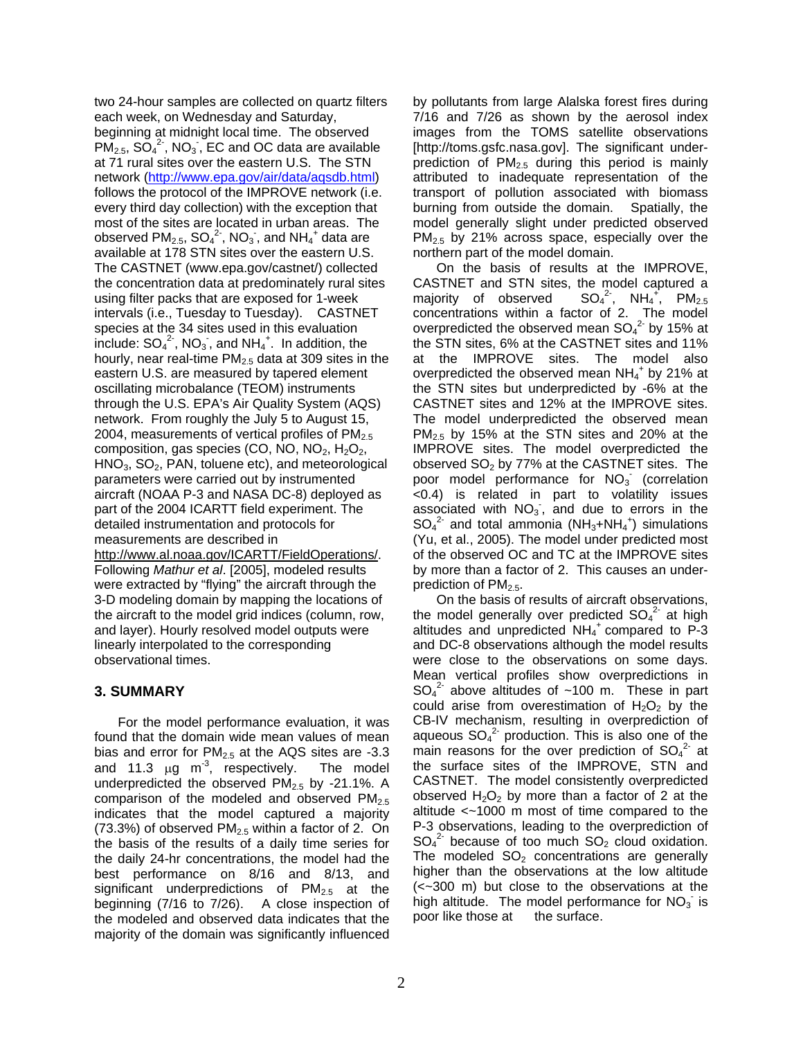two 24-hour samples are collected on quartz filters each week, on Wednesday and Saturday, beginning at midnight local time. The observed  $PM_{2.5}$ ,  $SO_4^2$ <sup>2</sup>, NO<sub>3</sub>, EC and OC data are available at 71 rural sites over the eastern U.S. The STN network (http://www.epa.gov/air/data/aqsdb.html) follows the protocol of the IMPROVE network (i.e. every third day collection) with the exception that most of the sites are located in urban areas. The observed  $PM_{2.5}$ ,  $SO_4^2$ <sup>2</sup>, NO<sub>3</sub>, and NH<sub>4</sub><sup>+</sup> data are available at 178 STN sites over the eastern U.S. The CASTNET (www.epa.gov/castnet/) collected the concentration data at predominately rural sites using filter packs that are exposed for 1-week intervals (i.e., Tuesday to Tuesday). CASTNET species at the 34 sites used in this evaluation include:  $SO_4^2$ , NO<sub>3</sub>, and NH<sub>4</sub><sup>+</sup>. In addition, the hourly, near real-time  $PM<sub>2.5</sub>$  data at 309 sites in the eastern U.S. are measured by tapered element oscillating microbalance (TEOM) instruments through the U.S. EPA's Air Quality System (AQS) network. From roughly the July 5 to August 15, 2004, measurements of vertical profiles of  $PM<sub>2.5</sub>$ composition, gas species (CO, NO, NO<sub>2</sub>, H<sub>2</sub>O<sub>2</sub>,  $HNO<sub>3</sub>$ ,  $SO<sub>2</sub>$ , PAN, toluene etc), and meteorological parameters were carried out by instrumented aircraft (NOAA P-3 and NASA DC-8) deployed as part of the 2004 ICARTT field experiment. The detailed instrumentation and protocols for measurements are described in http://www.al.noaa.gov/ICARTT/FieldOperations/. Following *Mathur et al*. [2005], modeled results were extracted by "flying" the aircraft through the 3-D modeling domain by mapping the locations of the aircraft to the model grid indices (column, row, and layer). Hourly resolved model outputs were linearly interpolated to the corresponding observational times.

### **3. SUMMARY**

For the model performance evaluation, it was found that the domain wide mean values of mean bias and error for  $PM<sub>2.5</sub>$  at the AQS sites are -3.3 and 11.3  $\mu$ g m<sup>-3</sup>, respectively. The model underpredicted the observed PM<sub>2.5</sub> by -21.1%. A comparison of the modeled and observed PM<sub>2.5</sub> indicates that the model captured a majority (73.3%) of observed  $PM<sub>2.5</sub>$  within a factor of 2. On the basis of the results of a daily time series for the daily 24-hr concentrations, the model had the best performance on 8/16 and 8/13, and significant underpredictions of  $PM_{2.5}$  at the beginning (7/16 to 7/26). A close inspection of the modeled and observed data indicates that the majority of the domain was significantly influenced

by pollutants from large Alalska forest fires during 7/16 and 7/26 as shown by the aerosol index images from the TOMS satellite observations [http://toms.gsfc.nasa.gov]. The significant underprediction of  $PM<sub>2.5</sub>$  during this period is mainly attributed to inadequate representation of the transport of pollution associated with biomass burning from outside the domain.Spatially, the model generally slight under predicted observed PM<sub>2.5</sub> by 21% across space, especially over the northern part of the model domain.

On the basis of results at the IMPROVE, CASTNET and STN sites, the model captured a majority of observed <sup>2-</sup>, NH<sub>4</sub><sup>+</sup>, PM<sub>2.5</sub> concentrations within a factor of 2. The model overpredicted the observed mean  $SO_4^2$  by 15% at the STN sites, 6% at the CASTNET sites and 11% at the IMPROVE sites. The model also overpredicted the observed mean  $NH_4^+$  by 21% at the STN sites but underpredicted by -6% at the CASTNET sites and 12% at the IMPROVE sites. The model underpredicted the observed mean PM2.5 by 15% at the STN sites and 20% at the IMPROVE sites. The model overpredicted the observed  $SO_2$  by 77% at the CASTNET sites. The poor model performance for  $NO<sub>3</sub>$  (correlation <0.4) is related in part to volatility issues associated with  $NO<sub>3</sub>$ , and due to errors in the  $SO_4^2$  and total ammonia (NH<sub>3</sub>+NH<sub>4</sub><sup>+</sup>) simulations (Yu, et al., 2005). The model under predicted most of the observed OC and TC at the IMPROVE sites by more than a factor of 2. This causes an underprediction of  $PM<sub>2.5</sub>$ .

On the basis of results of aircraft observations, the model generally over predicted  $SO_4^2$  at high altitudes and unpredicted NH<sub>4</sub><sup>+</sup> compared to P-3 and DC-8 observations although the model results were close to the observations on some days. Mean vertical profiles show overpredictions in  $SO_4^2$  above altitudes of ~100 m. These in part could arise from overestimation of  $H_2O_2$  by the CB-IV mechanism, resulting in overprediction of aqueous  $SO_4^2$  production. This is also one of the main reasons for the over prediction of  $SO_4^2$  at the surface sites of the IMPROVE, STN and CASTNET. The model consistently overpredicted observed  $H_2O_2$  by more than a factor of 2 at the altitude <~1000 m most of time compared to the P-3 observations, leading to the overprediction of  $SO_4^2$  because of too much  $SO_2$  cloud oxidation. The modeled  $SO<sub>2</sub>$  concentrations are generally higher than the observations at the low altitude (<~300 m) but close to the observations at the high altitude. The model performance for  $NO<sub>3</sub>$  is poor like those at the surface.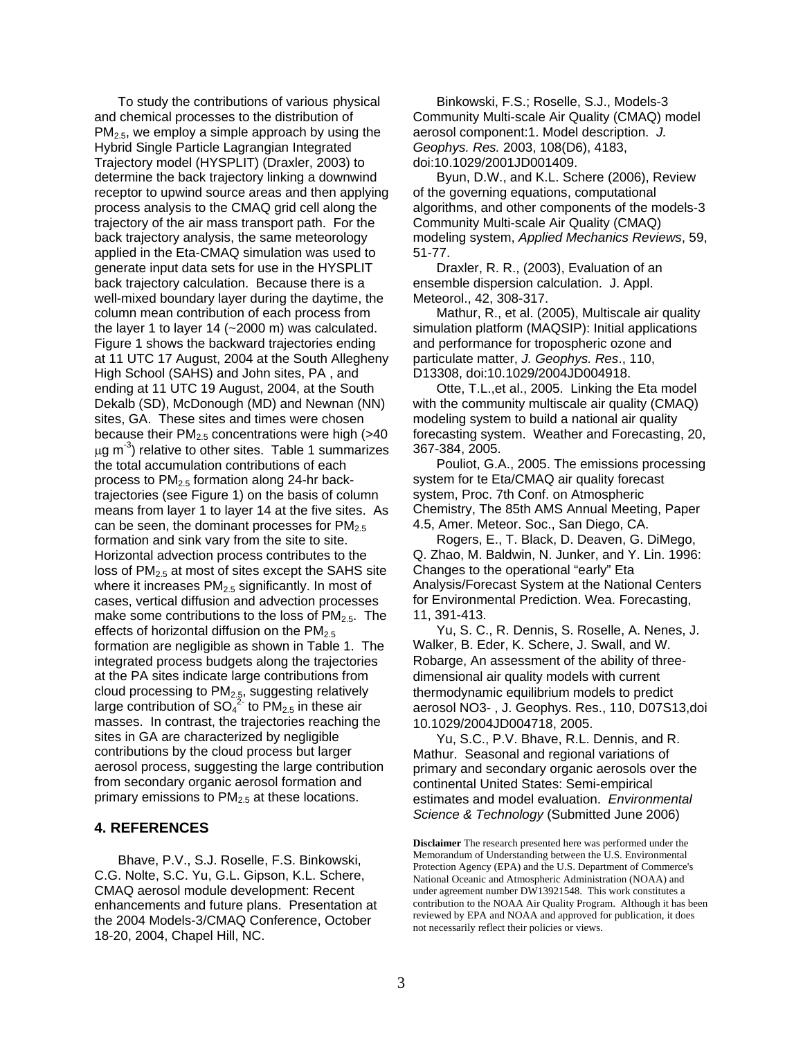To study the contributions of various physical and chemical processes to the distribution of  $PM<sub>2.5</sub>$ , we employ a simple approach by using the Hybrid Single Particle Lagrangian Integrated Trajectory model (HYSPLIT) (Draxler, 2003) to determine the back trajectory linking a downwind receptor to upwind source areas and then applying process analysis to the CMAQ grid cell along the trajectory of the air mass transport path. For the back trajectory analysis, the same meteorology applied in the Eta-CMAQ simulation was used to generate input data sets for use in the HYSPLIT back trajectory calculation. Because there is a well-mixed boundary layer during the daytime, the column mean contribution of each process from the layer 1 to layer 14 (~2000 m) was calculated. Figure 1 shows the backward trajectories ending at 11 UTC 17 August, 2004 at the South Allegheny High School (SAHS) and John sites, PA , and ending at 11 UTC 19 August, 2004, at the South Dekalb (SD), McDonough (MD) and Newnan (NN) sites, GA. These sites and times were chosen because their  $PM<sub>2.5</sub>$  concentrations were high (>40  $\mu$ g m<sup>-3</sup>) relative to other sites. Table 1 summarizes the total accumulation contributions of each process to PM2.5 formation along 24-hr backtrajectories (see Figure 1) on the basis of column means from layer 1 to layer 14 at the five sites. As can be seen, the dominant processes for  $PM<sub>2.5</sub>$ formation and sink vary from the site to site. Horizontal advection process contributes to the loss of  $PM<sub>2.5</sub>$  at most of sites except the SAHS site where it increases  $PM<sub>2.5</sub>$  significantly. In most of cases, vertical diffusion and advection processes make some contributions to the loss of  $PM_{2.5}$ . The effects of horizontal diffusion on the  $PM_{2.5}$ formation are negligible as shown in Table 1. The integrated process budgets along the trajectories at the PA sites indicate large contributions from cloud processing to  $PM_{2.5}$ , suggesting relatively large contribution of  $SO_4^{22}$  to PM<sub>2.5</sub> in these air masses. In contrast, the trajectories reaching the sites in GA are characterized by negligible contributions by the cloud process but larger aerosol process, suggesting the large contribution from secondary organic aerosol formation and primary emissions to  $PM<sub>2.5</sub>$  at these locations.

#### **4. REFERENCES**

Bhave, P.V., S.J. Roselle, F.S. Binkowski, C.G. Nolte, S.C. Yu, G.L. Gipson, K.L. Schere, CMAQ aerosol module development: Recent enhancements and future plans. Presentation at the 2004 Models-3/CMAQ Conference, October 18-20, 2004, Chapel Hill, NC.

Binkowski, F.S.; Roselle, S.J., Models-3 Community Multi-scale Air Quality (CMAQ) model aerosol component:1. Model description. *J. Geophys. Res.* 2003, 108(D6), 4183, doi:10.1029/2001JD001409.

Byun, D.W., and K.L. Schere (2006), Review of the governing equations, computational algorithms, and other components of the models-3 Community Multi-scale Air Quality (CMAQ) modeling system, *Applied Mechanics Reviews*, 59, 51-77.

Draxler, R. R., (2003), Evaluation of an ensemble dispersion calculation. J. Appl. Meteorol., 42, 308-317.

Mathur, R., et al. (2005), Multiscale air quality simulation platform (MAQSIP): Initial applications and performance for tropospheric ozone and particulate matter, *J. Geophys. Res*., 110, D13308, doi:10.1029/2004JD004918.

Otte, T.L.,et al., 2005. Linking the Eta model with the community multiscale air quality (CMAQ) modeling system to build a national air quality forecasting system. Weather and Forecasting, 20, 367-384, 2005.

Pouliot, G.A., 2005. The emissions processing system for te Eta/CMAQ air quality forecast system, Proc. 7th Conf. on Atmospheric Chemistry, The 85th AMS Annual Meeting, Paper 4.5, Amer. Meteor. Soc., San Diego, CA.

Rogers, E., T. Black, D. Deaven, G. DiMego, Q. Zhao, M. Baldwin, N. Junker, and Y. Lin. 1996: Changes to the operational "early" Eta Analysis/Forecast System at the National Centers for Environmental Prediction. Wea. Forecasting, 11, 391-413.

Yu, S. C., R. Dennis, S. Roselle, A. Nenes, J. Walker, B. Eder, K. Schere, J. Swall, and W. Robarge, An assessment of the ability of threedimensional air quality models with current thermodynamic equilibrium models to predict aerosol NO3- , J. Geophys. Res., 110, D07S13,doi 10.1029/2004JD004718, 2005.

Yu, S.C., P.V. Bhave, R.L. Dennis, and R. Mathur. Seasonal and regional variations of primary and secondary organic aerosols over the continental United States: Semi-empirical estimates and model evaluation. *Environmental Science & Technology* (Submitted June 2006)

**Disclaimer** The research presented here was performed under the Memorandum of Understanding between the U.S. Environmental Protection Agency (EPA) and the U.S. Department of Commerce's National Oceanic and Atmospheric Administration (NOAA) and under agreement number DW13921548. This work constitutes a contribution to the NOAA Air Quality Program. Although it has been reviewed by EPA and NOAA and approved for publication, it does not necessarily reflect their policies or views.